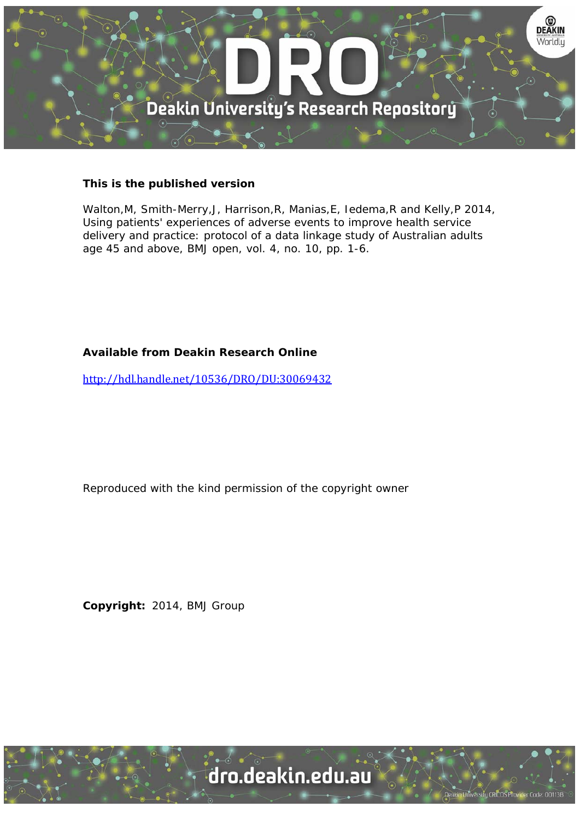

# **This is the published version**

Walton,M, Smith-Merry,J, Harrison,R, Manias,E, Iedema,R and Kelly,P 2014, Using patients' experiences of adverse events to improve health service delivery and practice: protocol of a data linkage study of Australian adults age 45 and above, BMJ open, vol. 4, no. 10, pp. 1-6.

# **Available from Deakin Research Online**

http://hdl.handle.net/10536/DRO/DU:30069432

Reproduced with the kind permission of the copyright owner

**Copyright:** 2014, BMJ Group

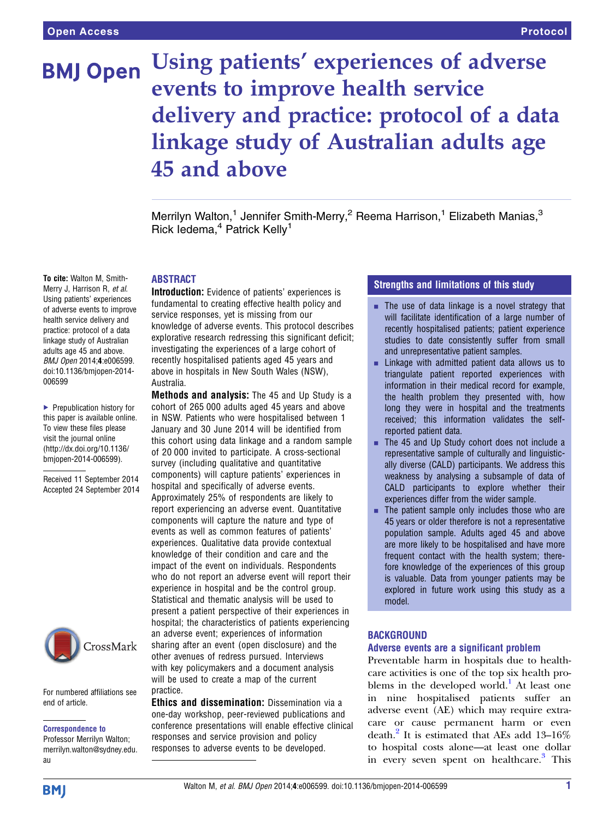# Using patients' experiences of adverse **BMJ Open** events to improve health service delivery and practice: protocol of a data linkage study of Australian adults age 45 and above

Merrilyn Walton,<sup>1</sup> Jennifer Smith-Merry,<sup>2</sup> Reema Harrison,<sup>1</sup> Elizabeth Manias,<sup>3</sup> Rick Iedema, $4$  Patrick Kelly<sup>1</sup>

#### **ABSTRACT**

To cite: Walton M, Smith-Merry J, Harrison R, et al. Using patients' experiences of adverse events to improve health service delivery and practice: protocol of a data linkage study of Australian adults age 45 and above. BMJ Open 2014;4:e006599. doi:10.1136/bmjopen-2014- 006599

▶ Prepublication history for this paper is available online. To view these files please visit the journal online [\(http://dx.doi.org/10.1136/](http://dx.doi.org/10.1136/bmjopen-2014-006599) [bmjopen-2014-006599](http://dx.doi.org/10.1136/bmjopen-2014-006599)).

Received 11 September 2014 Accepted 24 September 2014



For numbered affiliations see end of article.

Correspondence to

Professor Merrilyn Walton; merrilyn.walton@sydney.edu. au

Introduction: Evidence of patients' experiences is fundamental to creating effective health policy and service responses, yet is missing from our knowledge of adverse events. This protocol describes explorative research redressing this significant deficit; investigating the experiences of a large cohort of recently hospitalised patients aged 45 years and above in hospitals in New South Wales (NSW), Australia.

Methods and analysis: The 45 and Up Study is a cohort of 265 000 adults aged 45 years and above in NSW. Patients who were hospitalised between 1 January and 30 June 2014 will be identified from this cohort using data linkage and a random sample of 20 000 invited to participate. A cross-sectional survey (including qualitative and quantitative components) will capture patients' experiences in hospital and specifically of adverse events. Approximately 25% of respondents are likely to report experiencing an adverse event. Quantitative components will capture the nature and type of events as well as common features of patients' experiences. Qualitative data provide contextual knowledge of their condition and care and the impact of the event on individuals. Respondents who do not report an adverse event will report their experience in hospital and be the control group. Statistical and thematic analysis will be used to present a patient perspective of their experiences in hospital; the characteristics of patients experiencing an adverse event; experiences of information sharing after an event (open disclosure) and the other avenues of redress pursued. Interviews with key policymakers and a document analysis will be used to create a map of the current practice.

Ethics and dissemination: Dissemination via a one-day workshop, peer-reviewed publications and conference presentations will enable effective clinical responses and service provision and policy responses to adverse events to be developed.

#### Strengths and limitations of this study

- $\blacksquare$  The use of data linkage is a novel strategy that will facilitate identification of a large number of recently hospitalised patients; patient experience studies to date consistently suffer from small and unrepresentative patient samples.
- $\blacksquare$  Linkage with admitted patient data allows us to triangulate patient reported experiences with information in their medical record for example, the health problem they presented with, how long they were in hospital and the treatments received; this information validates the selfreported patient data.
- The 45 and Up Study cohort does not include a representative sample of culturally and linguistically diverse (CALD) participants. We address this weakness by analysing a subsample of data of CALD participants to explore whether their experiences differ from the wider sample.
- The patient sample only includes those who are 45 years or older therefore is not a representative population sample. Adults aged 45 and above are more likely to be hospitalised and have more frequent contact with the health system; therefore knowledge of the experiences of this group is valuable. Data from younger patients may be explored in future work using this study as a model.

#### BACKGROUND

## Adverse events are a significant problem

Preventable harm in hospitals due to healthcare activities is one of the top six health pro-blems in the developed world.<sup>[1](#page-7-0)</sup> At least one in nine hospitalised patients suffer an adverse event (AE) which may require extracare or cause permanent harm or even death.<sup>[2](#page-7-0)</sup> It is estimated that AEs add  $13-16\%$ to hospital costs alone—at least one dollar in every seven spent on healthcare.<sup>3</sup> This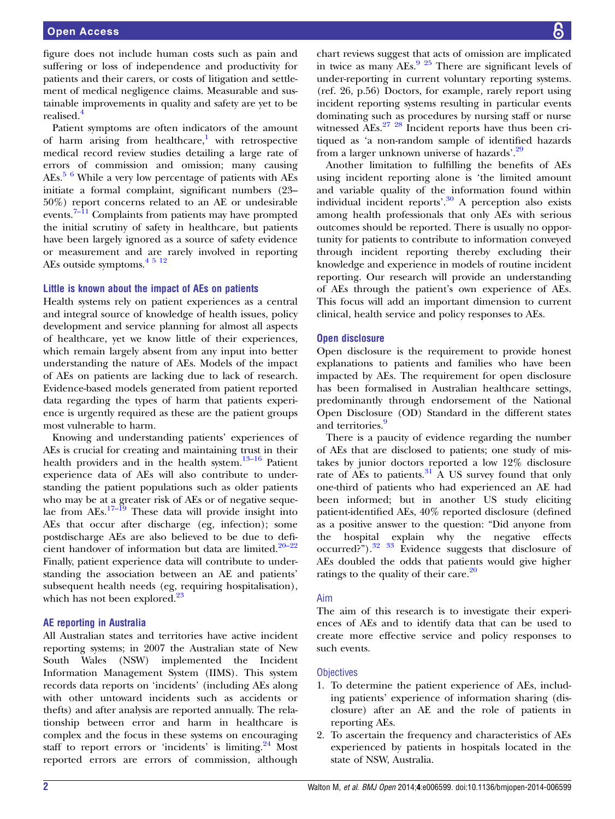figure does not include human costs such as pain and suffering or loss of independence and productivity for patients and their carers, or costs of litigation and settlement of medical negligence claims. Measurable and sustainable improvements in quality and safety are yet to be realised.<sup>[4](#page-7-0)</sup>

Patient symptoms are often indicators of the amount of harm arising from healthcare, $\frac{1}{1}$  with retrospective medical record review studies detailing a large rate of errors of commission and omission; many causing AEs.<sup>[5 6](#page-7-0)</sup> While a very low percentage of patients with AEs initiate a formal complaint, significant numbers (23– 50%) report concerns related to an AE or undesirable events.<sup>7-[11](#page-7-0)</sup> Complaints from patients may have prompted the initial scrutiny of safety in healthcare, but patients have been largely ignored as a source of safety evidence or measurement and are rarely involved in reporting AEs outside symptoms.[4 5 12](#page-7-0)

#### Little is known about the impact of AEs on patients

Health systems rely on patient experiences as a central and integral source of knowledge of health issues, policy development and service planning for almost all aspects of healthcare, yet we know little of their experiences, which remain largely absent from any input into better understanding the nature of AEs. Models of the impact of AEs on patients are lacking due to lack of research. Evidence-based models generated from patient reported data regarding the types of harm that patients experience is urgently required as these are the patient groups most vulnerable to harm.

Knowing and understanding patients' experiences of AEs is crucial for creating and maintaining trust in their health providers and in the health system. $13-16$  $13-16$  Patient experience data of AEs will also contribute to understanding the patient populations such as older patients who may be at a greater risk of AEs or of negative sequelae from  $AEs$ .<sup>17–[19](#page-7-0)</sup> These data will provide insight into AEs that occur after discharge (eg, infection); some postdischarge AEs are also believed to be due to deficient handover of information but data are limited. $20-22$  $20-22$ Finally, patient experience data will contribute to understanding the association between an AE and patients' subsequent health needs (eg, requiring hospitalisation), which has not been explored.<sup>[23](#page-7-0)</sup>

#### AE reporting in Australia

All Australian states and territories have active incident reporting systems; in 2007 the Australian state of New South Wales (NSW) implemented the Incident Information Management System (IIMS). This system records data reports on 'incidents' (including AEs along with other untoward incidents such as accidents or thefts) and after analysis are reported annually. The relationship between error and harm in healthcare is complex and the focus in these systems on encouraging staff to report errors or 'incidents' is limiting. $24$  Most reported errors are errors of commission, although

chart reviews suggest that acts of omission are implicated in twice as many  $AEs$ .<sup>[9 25](#page-7-0)</sup> There are significant levels of under-reporting in current voluntary reporting systems. (ref. 26, p.56) Doctors, for example, rarely report using incident reporting systems resulting in particular events dominating such as procedures by nursing staff or nurse witnessed AEs.<sup>27</sup> <sup>28</sup> Incident reports have thus been critiqued as 'a non-random sample of identified hazards from a larger unknown universe of hazards'.<sup>[29](#page-7-0)</sup>

Another limitation to fulfilling the benefits of AEs using incident reporting alone is 'the limited amount and variable quality of the information found within individual incident reports'.<sup>[30](#page-7-0)</sup> A perception also exists among health professionals that only AEs with serious outcomes should be reported. There is usually no opportunity for patients to contribute to information conveyed through incident reporting thereby excluding their knowledge and experience in models of routine incident reporting. Our research will provide an understanding of AEs through the patient's own experience of AEs. This focus will add an important dimension to current clinical, health service and policy responses to AEs.

#### Open disclosure

Open disclosure is the requirement to provide honest explanations to patients and families who have been impacted by AEs. The requirement for open disclosure has been formalised in Australian healthcare settings, predominantly through endorsement of the National Open Disclosure (OD) Standard in the different states and territories.<sup>[9](#page-7-0)</sup>

There is a paucity of evidence regarding the number of AEs that are disclosed to patients; one study of mistakes by junior doctors reported a low 12% disclosure rate of  $\overrightarrow{AEs}$  to patients.<sup>[31](#page-7-0)</sup> A US survey found that only one-third of patients who had experienced an AE had been informed; but in another US study eliciting patient-identified AEs, 40% reported disclosure (defined as a positive answer to the question: "Did anyone from the hospital explain why the negative effects occurred?").[32 33](#page-7-0) Evidence suggests that disclosure of AEs doubled the odds that patients would give higher ratings to the quality of their care. $20$ 

#### Aim

The aim of this research is to investigate their experiences of AEs and to identify data that can be used to create more effective service and policy responses to such events.

#### **Objectives**

- 1. To determine the patient experience of AEs, including patients' experience of information sharing (disclosure) after an AE and the role of patients in reporting AEs.
- 2. To ascertain the frequency and characteristics of AEs experienced by patients in hospitals located in the state of NSW, Australia.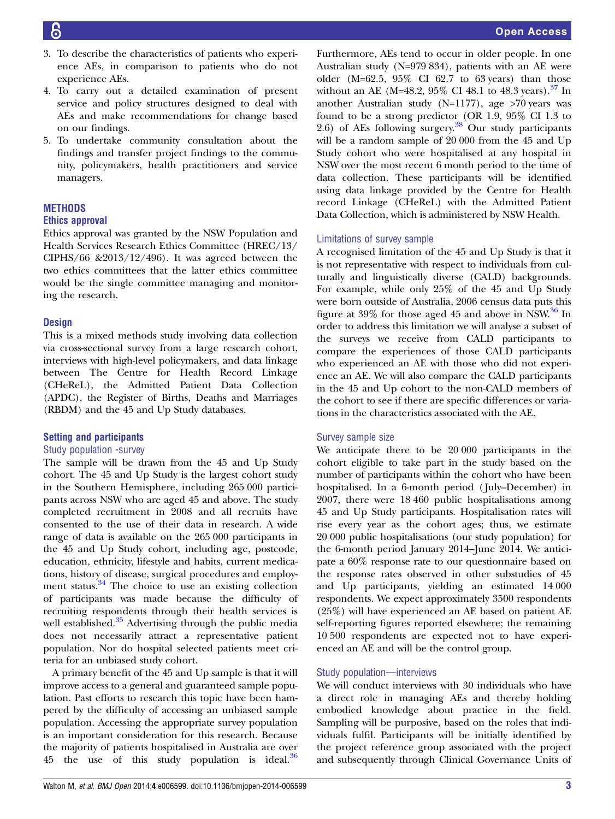- 3. To describe the characteristics of patients who experience AEs, in comparison to patients who do not experience AEs.
- 4. To carry out a detailed examination of present service and policy structures designed to deal with AEs and make recommendations for change based on our findings.
- 5. To undertake community consultation about the findings and transfer project findings to the community, policymakers, health practitioners and service managers.

## **METHODS**

#### Ethics approval

Ethics approval was granted by the NSW Population and Health Services Research Ethics Committee (HREC/13/ CIPHS/66  $&2013/12/496$ ). It was agreed between the two ethics committees that the latter ethics committee would be the single committee managing and monitoring the research.

#### **Design**

This is a mixed methods study involving data collection via cross-sectional survey from a large research cohort, interviews with high-level policymakers, and data linkage between The Centre for Health Record Linkage (CHeReL), the Admitted Patient Data Collection (APDC), the Register of Births, Deaths and Marriages (RBDM) and the 45 and Up Study databases.

#### Setting and participants

#### Study population -survey

The sample will be drawn from the 45 and Up Study cohort. The 45 and Up Study is the largest cohort study in the Southern Hemisphere, including 265 000 participants across NSW who are aged 45 and above. The study completed recruitment in 2008 and all recruits have consented to the use of their data in research. A wide range of data is available on the 265 000 participants in the 45 and Up Study cohort, including age, postcode, education, ethnicity, lifestyle and habits, current medications, history of disease, surgical procedures and employ-ment status.<sup>[34](#page-7-0)</sup> The choice to use an existing collection of participants was made because the difficulty of recruiting respondents through their health services is well established.<sup>[35](#page-7-0)</sup> Advertising through the public media does not necessarily attract a representative patient population. Nor do hospital selected patients meet criteria for an unbiased study cohort.

A primary benefit of the 45 and Up sample is that it will improve access to a general and guaranteed sample population. Past efforts to research this topic have been hampered by the difficulty of accessing an unbiased sample population. Accessing the appropriate survey population is an important consideration for this research. Because the majority of patients hospitalised in Australia are over  $45$  the use of this study population is ideal.<sup>[36](#page-7-0)</sup>

Furthermore, AEs tend to occur in older people. In one Australian study (N=979 834), patients with an AE were older (M=62.5,  $95\%$  CI 62.7 to 63 years) than those without an AE (M=48.2, 95% CI 48.1 to 48.3 years).<sup>[37](#page-7-0)</sup> In another Australian study (N=1177), age >70 years was found to be a strong predictor (OR 1.9, 95% CI 1.3 to 2.6) of AEs following surgery.[38](#page-7-0) Our study participants will be a random sample of 20 000 from the 45 and Up Study cohort who were hospitalised at any hospital in NSW over the most recent 6 month period to the time of data collection. These participants will be identified using data linkage provided by the Centre for Health record Linkage (CHeReL) with the Admitted Patient Data Collection, which is administered by NSW Health.

#### Limitations of survey sample

A recognised limitation of the 45 and Up Study is that it is not representative with respect to individuals from culturally and linguistically diverse (CALD) backgrounds. For example, while only 25% of the 45 and Up Study were born outside of Australia, 2006 census data puts this figure at 39% for those aged 45 and above in NSW.<sup>[36](#page-7-0)</sup> In order to address this limitation we will analyse a subset of the surveys we receive from CALD participants to compare the experiences of those CALD participants who experienced an AE with those who did not experience an AE. We will also compare the CALD participants in the 45 and Up cohort to the non-CALD members of the cohort to see if there are specific differences or variations in the characteristics associated with the AE.

#### Survey sample size

We anticipate there to be 20 000 participants in the cohort eligible to take part in the study based on the number of participants within the cohort who have been hospitalised. In a 6-month period (July–December) in 2007, there were 18 460 public hospitalisations among 45 and Up Study participants. Hospitalisation rates will rise every year as the cohort ages; thus, we estimate 20 000 public hospitalisations (our study population) for the 6-month period January 2014–June 2014. We anticipate a 60% response rate to our questionnaire based on the response rates observed in other substudies of 45 and Up participants, yielding an estimated 14 000 respondents. We expect approximately 3500 respondents (25%) will have experienced an AE based on patient AE self-reporting figures reported elsewhere; the remaining 10 500 respondents are expected not to have experienced an AE and will be the control group.

#### Study population—interviews

We will conduct interviews with 30 individuals who have a direct role in managing AEs and thereby holding embodied knowledge about practice in the field. Sampling will be purposive, based on the roles that individuals fulfil. Participants will be initially identified by the project reference group associated with the project and subsequently through Clinical Governance Units of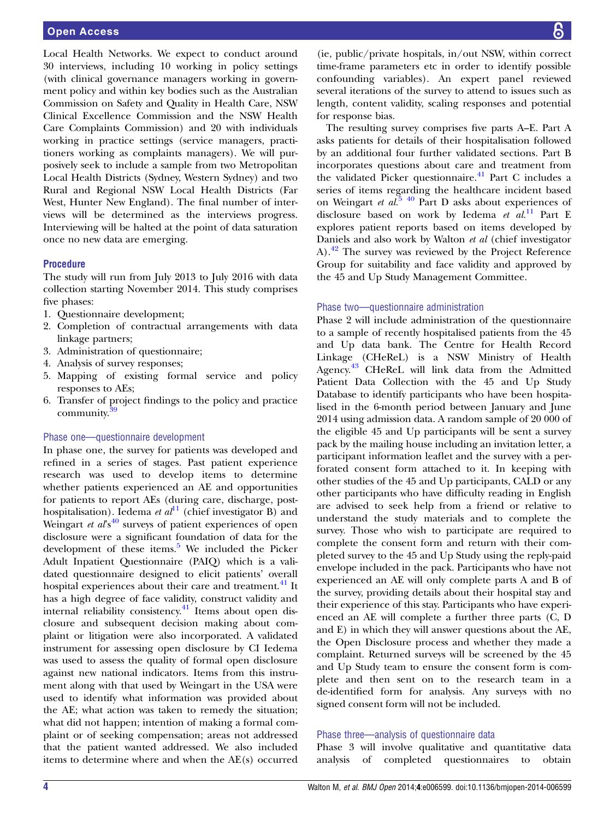Local Health Networks. We expect to conduct around 30 interviews, including 10 working in policy settings (with clinical governance managers working in government policy and within key bodies such as the Australian Commission on Safety and Quality in Health Care, NSW Clinical Excellence Commission and the NSW Health Care Complaints Commission) and 20 with individuals working in practice settings (service managers, practitioners working as complaints managers). We will purposively seek to include a sample from two Metropolitan Local Health Districts (Sydney, Western Sydney) and two Rural and Regional NSW Local Health Districts (Far West, Hunter New England). The final number of interviews will be determined as the interviews progress. Interviewing will be halted at the point of data saturation once no new data are emerging.

#### Procedure

The study will run from July 2013 to July 2016 with data collection starting November 2014. This study comprises five phases:

- 1. Questionnaire development;
- 2. Completion of contractual arrangements with data linkage partners;
- 3. Administration of questionnaire;
- 4. Analysis of survey responses;
- 5. Mapping of existing formal service and policy responses to AEs;
- 6. Transfer of project findings to the policy and practice community.<sup>3</sup>

#### Phase one—questionnaire development

In phase one, the survey for patients was developed and refined in a series of stages. Past patient experience research was used to develop items to determine whether patients experienced an AE and opportunities for patients to report AEs (during care, discharge, posthospitalisation). Iedema et  $al<sup>11</sup>$  $al<sup>11</sup>$  $al<sup>11</sup>$  (chief investigator B) and Weingart et al<sup>es[40](#page-7-0)</sup> surveys of patient experiences of open disclosure were a significant foundation of data for the development of these items.<sup>[5](#page-7-0)</sup> We included the Picker Adult Inpatient Questionnaire (PAIQ) which is a validated questionnaire designed to elicit patients' overall hospital experiences about their care and treatment.<sup>[41](#page-7-0)</sup> It has a high degree of face validity, construct validity and internal reliability consistency.<sup>[41](#page-7-0)</sup> Items about open disclosure and subsequent decision making about complaint or litigation were also incorporated. A validated instrument for assessing open disclosure by CI Iedema was used to assess the quality of formal open disclosure against new national indicators. Items from this instrument along with that used by Weingart in the USA were used to identify what information was provided about the AE; what action was taken to remedy the situation; what did not happen; intention of making a formal complaint or of seeking compensation; areas not addressed that the patient wanted addressed. We also included items to determine where and when the AE(s) occurred

(ie, public/private hospitals, in/out NSW, within correct time-frame parameters etc in order to identify possible confounding variables). An expert panel reviewed several iterations of the survey to attend to issues such as length, content validity, scaling responses and potential for response bias.

The resulting survey comprises five parts A–E. Part A asks patients for details of their hospitalisation followed by an additional four further validated sections. Part B incorporates questions about care and treatment from the validated Picker questionnaire. $41$  Part C includes a series of items regarding the healthcare incident based on Weingart et  $a_1^{\frac{5}{5} \cdot 40}$  Part D asks about experiences of disclosure based on work by Iedema et  $al$ <sup>[11](#page-7-0)</sup> Part E explores patient reports based on items developed by Daniels and also work by Walton et al (chief investigator A)[.42](#page-7-0) The survey was reviewed by the Project Reference Group for suitability and face validity and approved by the 45 and Up Study Management Committee.

#### Phase two—questionnaire administration

Phase 2 will include administration of the questionnaire to a sample of recently hospitalised patients from the 45 and Up data bank. The Centre for Health Record Linkage (CHeReL) is a NSW Ministry of Health Agency.<sup>[43](#page-7-0)</sup> CHeReL will link data from the Admitted Patient Data Collection with the 45 and Up Study Database to identify participants who have been hospitalised in the 6-month period between January and June 2014 using admission data. A random sample of 20 000 of the eligible 45 and Up participants will be sent a survey pack by the mailing house including an invitation letter, a participant information leaflet and the survey with a perforated consent form attached to it. In keeping with other studies of the 45 and Up participants, CALD or any other participants who have difficulty reading in English are advised to seek help from a friend or relative to understand the study materials and to complete the survey. Those who wish to participate are required to complete the consent form and return with their completed survey to the 45 and Up Study using the reply-paid envelope included in the pack. Participants who have not experienced an AE will only complete parts A and B of the survey, providing details about their hospital stay and their experience of this stay. Participants who have experienced an AE will complete a further three parts (C, D and E) in which they will answer questions about the AE, the Open Disclosure process and whether they made a complaint. Returned surveys will be screened by the 45 and Up Study team to ensure the consent form is complete and then sent on to the research team in a de-identified form for analysis. Any surveys with no signed consent form will not be included.

#### Phase three—analysis of questionnaire data

Phase 3 will involve qualitative and quantitative data analysis of completed questionnaires to obtain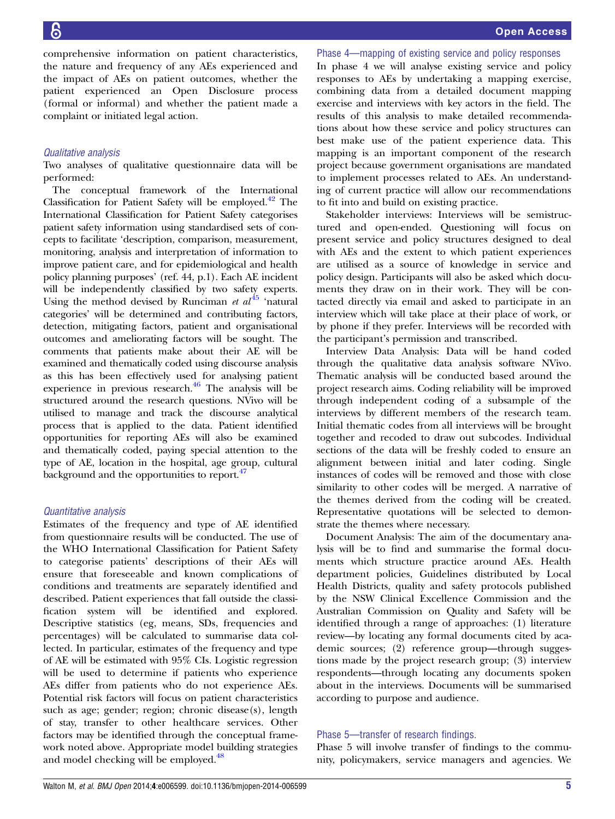comprehensive information on patient characteristics, the nature and frequency of any AEs experienced and the impact of AEs on patient outcomes, whether the patient experienced an Open Disclosure process (formal or informal) and whether the patient made a complaint or initiated legal action.

# Qualitative analysis

Two analyses of qualitative questionnaire data will be performed:

The conceptual framework of the International Classification for Patient Safety will be employed. $42$  The International Classification for Patient Safety categorises patient safety information using standardised sets of concepts to facilitate 'description, comparison, measurement, monitoring, analysis and interpretation of information to improve patient care, and for epidemiological and health policy planning purposes' (ref. 44, p.1). Each AE incident will be independently classified by two safety experts. Using the method devised by Runciman et  $al^{45}$  $al^{45}$  $al^{45}$  'natural categories' will be determined and contributing factors, detection, mitigating factors, patient and organisational outcomes and ameliorating factors will be sought. The comments that patients make about their AE will be examined and thematically coded using discourse analysis as this has been effectively used for analysing patient experience in previous research. $46$  The analysis will be structured around the research questions. NVivo will be utilised to manage and track the discourse analytical process that is applied to the data. Patient identified opportunities for reporting AEs will also be examined and thematically coded, paying special attention to the type of AE, location in the hospital, age group, cultural background and the opportunities to report.<sup>[47](#page-7-0)</sup>

# Quantitative analysis

Estimates of the frequency and type of AE identified from questionnaire results will be conducted. The use of the WHO International Classification for Patient Safety to categorise patients' descriptions of their AEs will ensure that foreseeable and known complications of conditions and treatments are separately identified and described. Patient experiences that fall outside the classification system will be identified and explored. Descriptive statistics (eg, means, SDs, frequencies and percentages) will be calculated to summarise data collected. In particular, estimates of the frequency and type of AE will be estimated with 95% CIs. Logistic regression will be used to determine if patients who experience AEs differ from patients who do not experience AEs. Potential risk factors will focus on patient characteristics such as age; gender; region; chronic disease(s), length of stay, transfer to other healthcare services. Other factors may be identified through the conceptual framework noted above. Appropriate model building strategies and model checking will be employed.<sup>[48](#page-7-0)</sup>

In phase 4 we will analyse existing service and policy responses to AEs by undertaking a mapping exercise, combining data from a detailed document mapping exercise and interviews with key actors in the field. The results of this analysis to make detailed recommendations about how these service and policy structures can best make use of the patient experience data. This mapping is an important component of the research project because government organisations are mandated to implement processes related to AEs. An understanding of current practice will allow our recommendations to fit into and build on existing practice.

Open Access

Stakeholder interviews: Interviews will be semistructured and open-ended. Questioning will focus on present service and policy structures designed to deal with AEs and the extent to which patient experiences are utilised as a source of knowledge in service and policy design. Participants will also be asked which documents they draw on in their work. They will be contacted directly via email and asked to participate in an interview which will take place at their place of work, or by phone if they prefer. Interviews will be recorded with the participant's permission and transcribed.

Interview Data Analysis: Data will be hand coded through the qualitative data analysis software NVivo. Thematic analysis will be conducted based around the project research aims. Coding reliability will be improved through independent coding of a subsample of the interviews by different members of the research team. Initial thematic codes from all interviews will be brought together and recoded to draw out subcodes. Individual sections of the data will be freshly coded to ensure an alignment between initial and later coding. Single instances of codes will be removed and those with close similarity to other codes will be merged. A narrative of the themes derived from the coding will be created. Representative quotations will be selected to demonstrate the themes where necessary.

Document Analysis: The aim of the documentary analysis will be to find and summarise the formal documents which structure practice around AEs. Health department policies, Guidelines distributed by Local Health Districts, quality and safety protocols published by the NSW Clinical Excellence Commission and the Australian Commission on Quality and Safety will be identified through a range of approaches: (1) literature review—by locating any formal documents cited by academic sources; (2) reference group—through suggestions made by the project research group; (3) interview respondents—through locating any documents spoken about in the interviews. Documents will be summarised according to purpose and audience.

# Phase 5—transfer of research findings.

Phase 5 will involve transfer of findings to the community, policymakers, service managers and agencies. We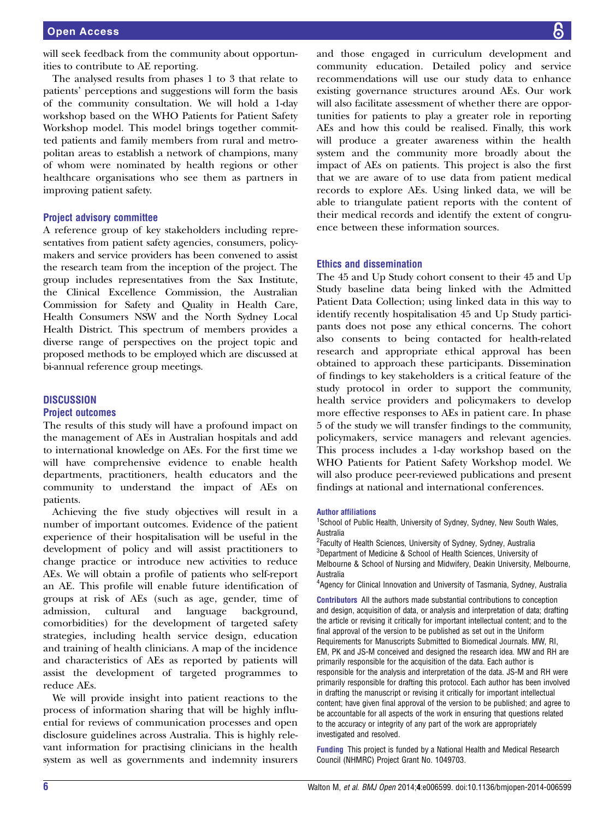will seek feedback from the community about opportunities to contribute to AE reporting.

The analysed results from phases 1 to 3 that relate to patients' perceptions and suggestions will form the basis of the community consultation. We will hold a 1-day workshop based on the WHO Patients for Patient Safety Workshop model. This model brings together committed patients and family members from rural and metropolitan areas to establish a network of champions, many of whom were nominated by health regions or other healthcare organisations who see them as partners in improving patient safety.

#### Project advisory committee

A reference group of key stakeholders including representatives from patient safety agencies, consumers, policymakers and service providers has been convened to assist the research team from the inception of the project. The group includes representatives from the Sax Institute, the Clinical Excellence Commission, the Australian Commission for Safety and Quality in Health Care, Health Consumers NSW and the North Sydney Local Health District. This spectrum of members provides a diverse range of perspectives on the project topic and proposed methods to be employed which are discussed at bi-annual reference group meetings.

#### **DISCUSSION**

#### Project outcomes

The results of this study will have a profound impact on the management of AEs in Australian hospitals and add to international knowledge on AEs. For the first time we will have comprehensive evidence to enable health departments, practitioners, health educators and the community to understand the impact of AEs on patients.

Achieving the five study objectives will result in a number of important outcomes. Evidence of the patient experience of their hospitalisation will be useful in the development of policy and will assist practitioners to change practice or introduce new activities to reduce AEs. We will obtain a profile of patients who self-report an AE. This profile will enable future identification of groups at risk of AEs (such as age, gender, time of admission, cultural and language background, comorbidities) for the development of targeted safety strategies, including health service design, education and training of health clinicians. A map of the incidence and characteristics of AEs as reported by patients will assist the development of targeted programmes to reduce AEs.

We will provide insight into patient reactions to the process of information sharing that will be highly influential for reviews of communication processes and open disclosure guidelines across Australia. This is highly relevant information for practising clinicians in the health system as well as governments and indemnity insurers

and those engaged in curriculum development and community education. Detailed policy and service recommendations will use our study data to enhance existing governance structures around AEs. Our work will also facilitate assessment of whether there are opportunities for patients to play a greater role in reporting AEs and how this could be realised. Finally, this work will produce a greater awareness within the health system and the community more broadly about the impact of AEs on patients. This project is also the first that we are aware of to use data from patient medical records to explore AEs. Using linked data, we will be able to triangulate patient reports with the content of their medical records and identify the extent of congruence between these information sources.

#### Ethics and dissemination

The 45 and Up Study cohort consent to their 45 and Up Study baseline data being linked with the Admitted Patient Data Collection; using linked data in this way to identify recently hospitalisation 45 and Up Study participants does not pose any ethical concerns. The cohort also consents to being contacted for health-related research and appropriate ethical approval has been obtained to approach these participants. Dissemination of findings to key stakeholders is a critical feature of the study protocol in order to support the community, health service providers and policymakers to develop more effective responses to AEs in patient care. In phase 5 of the study we will transfer findings to the community, policymakers, service managers and relevant agencies. This process includes a 1-day workshop based on the WHO Patients for Patient Safety Workshop model. We will also produce peer-reviewed publications and present findings at national and international conferences.

#### Author affiliations

<sup>1</sup>School of Public Health, University of Sydney, Sydney, New South Wales, Australia

<sup>2</sup> Faculty of Health Sciences, University of Sydney, Sydney, Australia <sup>3</sup>Department of Medicine & School of Health Sciences, University of Melbourne & School of Nursing and Midwifery, Deakin University, Melbourne, Australia

4 Agency for Clinical Innovation and University of Tasmania, Sydney, Australia

Contributors All the authors made substantial contributions to conception and design, acquisition of data, or analysis and interpretation of data; drafting the article or revising it critically for important intellectual content; and to the final approval of the version to be published as set out in the Uniform Requirements for Manuscripts Submitted to Biomedical Journals. MW, RI, EM, PK and JS-M conceived and designed the research idea. MW and RH are primarily responsible for the acquisition of the data. Each author is responsible for the analysis and interpretation of the data. JS-M and RH were primarily responsible for drafting this protocol. Each author has been involved in drafting the manuscript or revising it critically for important intellectual content; have given final approval of the version to be published; and agree to be accountable for all aspects of the work in ensuring that questions related to the accuracy or integrity of any part of the work are appropriately investigated and resolved.

Funding This project is funded by a National Health and Medical Research Council (NHMRC) Project Grant No. 1049703.